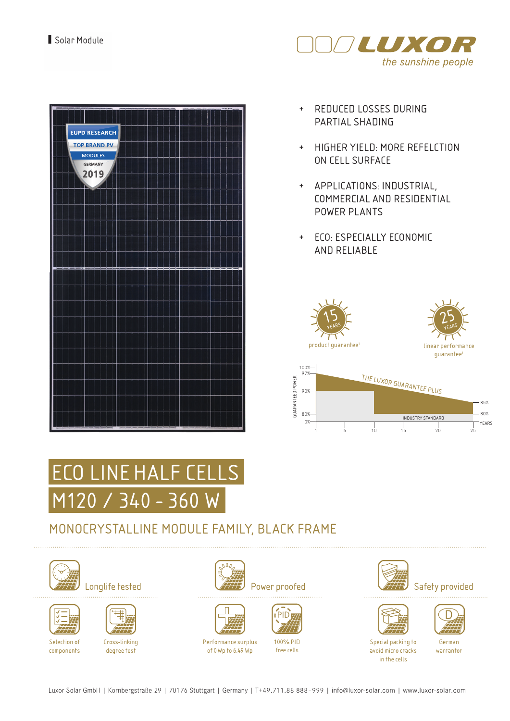

| <b>EUPD RESEARCH</b> |  |
|----------------------|--|
| <b>TOP BRAND PV</b>  |  |
| <b>MODULES</b>       |  |
| GERMANY              |  |
| 2019                 |  |
| r                    |  |
|                      |  |
|                      |  |
|                      |  |
|                      |  |
|                      |  |
|                      |  |
|                      |  |
|                      |  |
|                      |  |
|                      |  |
|                      |  |
|                      |  |
|                      |  |
|                      |  |
|                      |  |
|                      |  |
|                      |  |
|                      |  |
|                      |  |
|                      |  |
|                      |  |
|                      |  |
|                      |  |
|                      |  |
|                      |  |
|                      |  |

- + REDUCED LOSSES DURING PARTIAL SHADING
- + HIGHER YIELD: MORE REFELCTION ON CELL SURFACE
- + APPLICATIONS: INDUSTRIAL, COMMERCIAL AND RESIDENTIAL POWER PLANTS
- + ECO: ESPECIALLY ECONOMIC AND RELIABLE





## MONOCRYSTALLINE MODULE FAMILY, BLACK FRAME







Cross-linking degree test







Performance surplus of 0Wp to 6.49 Wp



100% PID

free cells





Special packing to avoid micro cracks in the cells

German warrantor

Luxor Solar GmbH | Kornbergstraße 29 | 70176 Stuttgart | Germany | T+49.711.88 888 - 999 | info@luxor-solar.com | www.luxor-solar.com